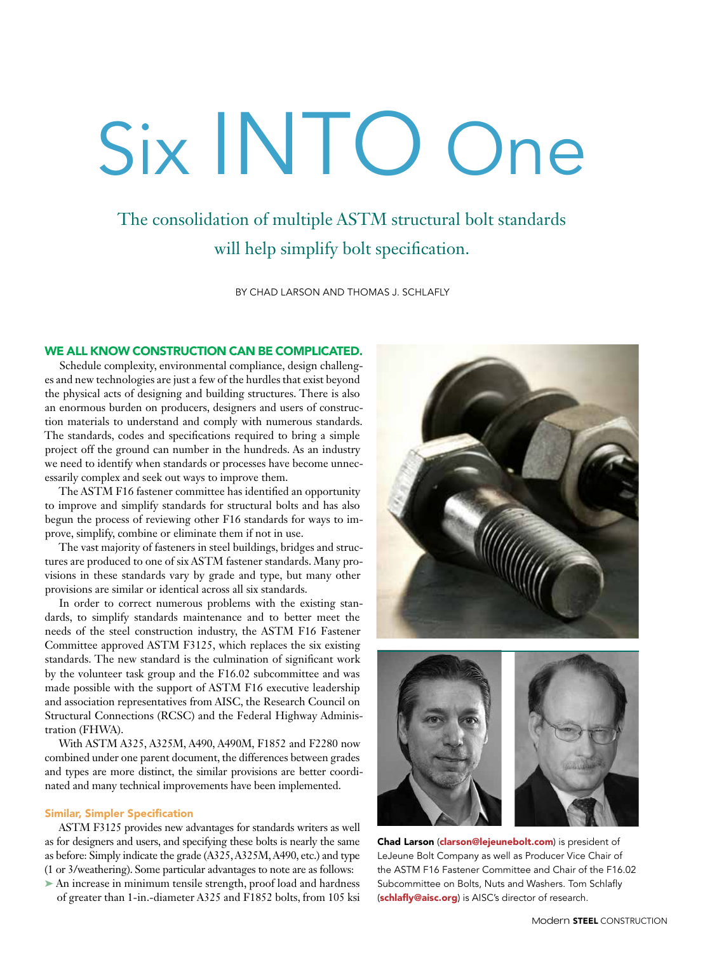# Six INTO One

# The consolidation of multiple ASTM structural bolt standards will help simplify bolt specification.

BY CHAD LARSON AND THOMAS J. SCHLAFLY

# WE ALL KNOW CONSTRUCTION CAN BE COMPLICATED.

Schedule complexity, environmental compliance, design challenges and new technologies are just a few of the hurdles that exist beyond the physical acts of designing and building structures. There is also an enormous burden on producers, designers and users of construction materials to understand and comply with numerous standards. The standards, codes and specifications required to bring a simple project off the ground can number in the hundreds. As an industry we need to identify when standards or processes have become unnecessarily complex and seek out ways to improve them.

The ASTM F16 fastener committee has identified an opportunity to improve and simplify standards for structural bolts and has also begun the process of reviewing other F16 standards for ways to improve, simplify, combine or eliminate them if not in use.

The vast majority of fasteners in steel buildings, bridges and structures are produced to one of six ASTM fastener standards. Many provisions in these standards vary by grade and type, but many other provisions are similar or identical across all six standards.

In order to correct numerous problems with the existing standards, to simplify standards maintenance and to better meet the needs of the steel construction industry, the ASTM F16 Fastener Committee approved ASTM F3125, which replaces the six existing standards. The new standard is the culmination of significant work by the volunteer task group and the F16.02 subcommittee and was made possible with the support of ASTM F16 executive leadership and association representatives from AISC, the Research Council on Structural Connections (RCSC) and the Federal Highway Administration (FHWA).

With ASTM A325, A325M, A490, A490M, F1852 and F2280 now combined under one parent document, the differences between grades and types are more distinct, the similar provisions are better coordinated and many technical improvements have been implemented.

## Similar, Simpler Specification

ASTM F3125 provides new advantages for standards writers as well as for designers and users, and specifying these bolts is nearly the same as before: Simply indicate the grade (A325, A325M, A490, etc.) and type (1 or 3/weathering). Some particular advantages to note are as follows:

➤ An increase in minimum tensile strength, proof load and hardness of greater than 1-in.-diameter A325 and F1852 bolts, from 105 ksi





Chad Larson (clarson@lejeunebolt.com) is president of LeJeune Bolt Company as well as Producer Vice Chair of the ASTM F16 Fastener Committee and Chair of the F16.02 Subcommittee on Bolts, Nuts and Washers. Tom Schlafly (schlafly@aisc.org) is AISC's director of research.